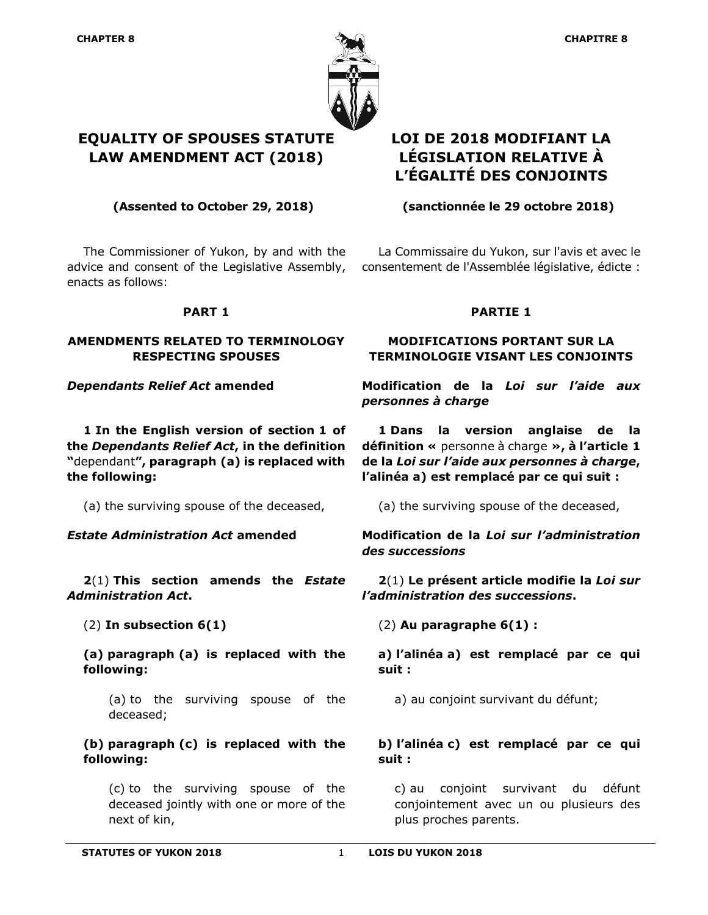

The Commissioner of Yukon, by and with the advice and consent of the Legislative Assembly, enacts as follows:

### **PART 1**

### **AMENDMENTS RELATED TO TERMINOLOGY RESPECTING SPOUSES**

**1 In the English version of section 1 of the** *Dependants Relief Act***, in the definition "**dependant**", paragraph (a) is replaced with the following:**

**2**(1) **This section amends the** *Estate Administration Act***.**

**(a) paragraph (a) is replaced with the following:**

(a) to the surviving spouse of the deceased;

## **(b) paragraph (c) is replaced with the following:**

(c) to the surviving spouse of the deceased jointly with one or more of the next of kin,

# **LOI DE 2018 MODIFIANT LA LÉGISLATION RELATIVE À L'ÉGALITÉ DES CONJOINTS**

**(Assented to October 29, 2018) (sanctionnée le 29 octobre 2018)**

La Commissaire du Yukon, sur l'avis et avec le consentement de l'Assemblée législative, édicte :

## **PARTIE 1**

## **MODIFICATIONS PORTANT SUR LA TERMINOLOGIE VISANT LES CONJOINTS**

*Dependants Relief Act* **amended Modification de la** *Loi sur l'aide aux personnes à charge*

> **1 Dans la version anglaise de la définition «** personne à charge **», à l'article 1 de la** *Loi sur l'aide aux personnes à charge***, l'alinéa a) est remplacé par ce qui suit :**

(a) the surviving spouse of the deceased, (a) the surviving spouse of the deceased,

*Estate Administration Act* **amended Modification de la** *Loi sur l'administration des successions*

> **2**(1) **Le présent article modifie la** *Loi sur l'administration des successions***.**

(2) **In subsection 6(1)** (2) **Au paragraphe 6(1) :**

**a) l'alinéa a) est remplacé par ce qui suit :**

a) au conjoint survivant du défunt;

## **b) l'alinéa c) est remplacé par ce qui suit :**

c) au conjoint survivant du défunt conjointement avec un ou plusieurs des plus proches parents.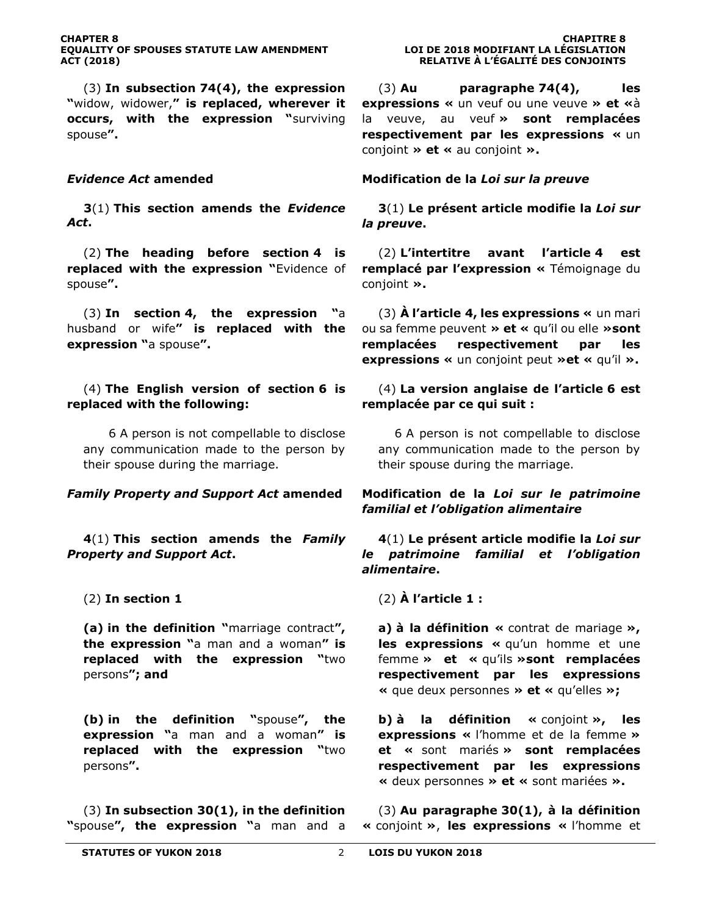(3) **In subsection 74(4), the expression "**widow, widower,**" is replaced, wherever it occurs, with the expression "**surviving spouse**".**

**3**(1) **This section amends the** *Evidence Act***.**

(2) **The heading before section 4 is replaced with the expression "**Evidence of spouse**".**

(3) **In section 4, the expression "**a husband or wife**" is replaced with the expression "**a spouse**".**

(4) **The English version of section 6 is replaced with the following:**

6 A person is not compellable to disclose any communication made to the person by their spouse during the marriage.

**4**(1) **This section amends the** *Family Property and Support Act***.**

**(a) in the definition "**marriage contract**", the expression "**a man and a woman**" is replaced with the expression "**two persons**"; and**

**(b) in the definition "**spouse**", the expression "**a man and a woman**" is replaced with the expression "**two persons**".**

(3) **In subsection 30(1), in the definition "**spouse**", the expression "**a man and a

(3) **Au paragraphe 74(4), les expressions «** un veuf ou une veuve **» et «**à la veuve, au veuf **» sont remplacées respectivement par les expressions «** un conjoint **» et «** au conjoint **».**

### *Evidence Act* **amended Modification de la** *Loi sur la preuve*

**3**(1) **Le présent article modifie la** *Loi sur la preuve***.**

(2) **L'intertitre avant l'article 4 est remplacé par l'expression «** Témoignage du conjoint **».**

(3) **À l'article 4, les expressions «** un mari ou sa femme peuvent **» et «** qu'il ou elle **»sont remplacées respectivement par les expressions «** un conjoint peut **»et «** qu'il **».**

(4) **La version anglaise de l'article 6 est remplacée par ce qui suit :**

6 A person is not compellable to disclose any communication made to the person by their spouse during the marriage.

### *Family Property and Support Act* **amended Modification de la** *Loi sur le patrimoine familial et l'obligation alimentaire*

### **4**(1) **Le présent article modifie la** *Loi sur le patrimoine familial et l'obligation alimentaire***.**

(2) **In section 1** (2) **À l'article 1 :**

**a) à la définition «** contrat de mariage **», les expressions «** qu'un homme et une femme **» et «** qu'ils **»sont remplacées respectivement par les expressions «** que deux personnes **» et «** qu'elles **»;**

**b) à la définition «** conjoint **», les expressions «** l'homme et de la femme **» et «** sont mariés **» sont remplacées respectivement par les expressions «** deux personnes **» et «** sont mariées **».**

(3) **Au paragraphe 30(1), à la définition «** conjoint **»**, **les expressions «** l'homme et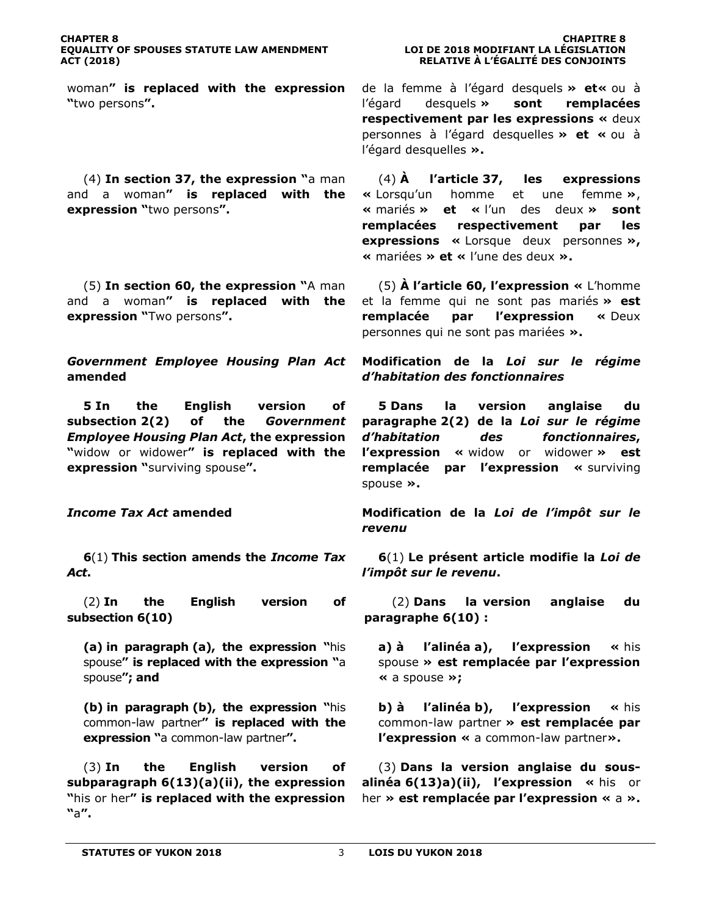woman**" is replaced with the expression "**two persons**".**

(4) **In section 37, the expression "**a man and a woman**" is replaced with the expression "**two persons**".**

(5) **In section 60, the expression "**A man and a woman**" is replaced with the expression "**Two persons**".**

*Government Employee Housing Plan Act*  **amended**

**5 In the English version of subsection 2(2) of the** *Government Employee Housing Plan Act***, the expression "**widow or widower**" is replaced with the expression "**surviving spouse**".**

**6**(1) **This section amends the** *Income Tax Act***.**

(2) **In the English version of subsection 6(10)**

**(a) in paragraph (a), the expression "**his spouse**" is replaced with the expression "**a spouse**"; and**

**(b) in paragraph (b), the expression "**his common-law partner**" is replaced with the expression "**a common-law partner**".**

(3) **In the English version of subparagraph 6(13)(a)(ii), the expression "**his or her**" is replaced with the expression "**a**".**

de la femme à l'égard desquels **» et«** ou à l'égard desquels **» sont remplacées respectivement par les expressions «** deux personnes à l'égard desquelles **» et «** ou à l'égard desquelles **».**

(4) **À l'article 37, les expressions «** Lorsqu'un homme et une femme **»**, **«** mariés **» et «** l'un des deux **» sont remplacées respectivement par les expressions «** Lorsque deux personnes **», «** mariées **» et «** l'une des deux **».**

(5) **À l'article 60, l'expression «** L'homme et la femme qui ne sont pas mariés **» est remplacée par l'expression «** Deux personnes qui ne sont pas mariées **».**

**Modification de la** *Loi sur le régime d'habitation des fonctionnaires*

**5 Dans la version anglaise du paragraphe 2(2) de la** *Loi sur le régime d'habitation des fonctionnaires***, l'expression «** widow or widower **» est remplacée par l'expression «** surviving spouse **».**

*Income Tax Act* **amended Modification de la** *Loi de l'impôt sur le revenu*

> **6**(1) **Le présent article modifie la** *Loi de l'impôt sur le revenu***.**

> (2) **Dans la version anglaise du paragraphe 6(10) :**

**a) à l'alinéa a), l'expression «** his spouse **» est remplacée par l'expression «** a spouse **»;**

**b) à l'alinéa b), l'expression «** his common-law partner **» est remplacée par l'expression «** a common-law partner**».**

(3) **Dans la version anglaise du sousalinéa 6(13)a)(ii), l'expression «** his or her **» est remplacée par l'expression «** a **».**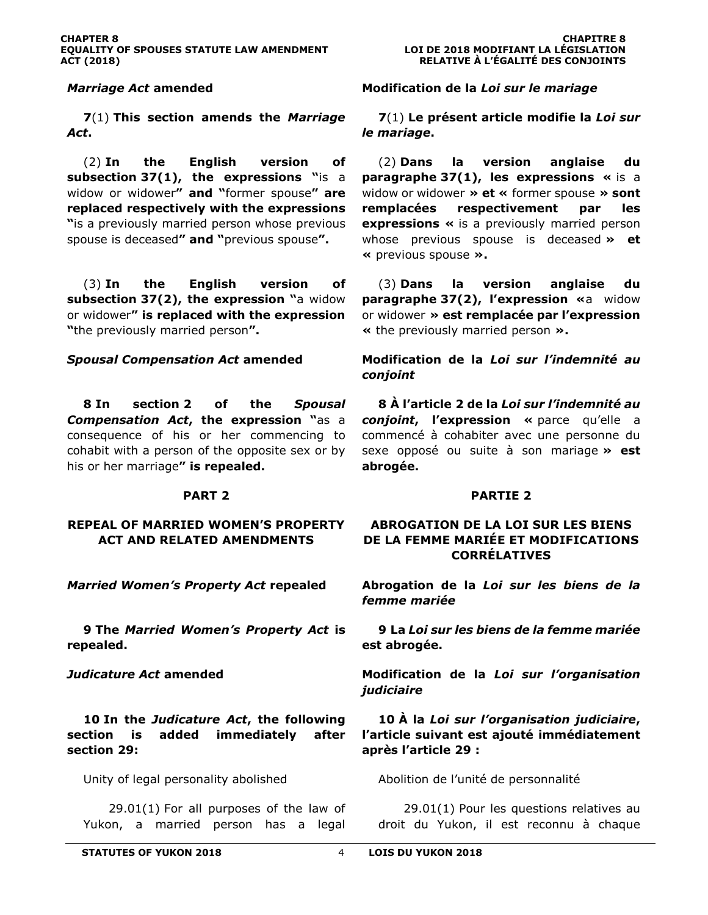**7**(1) **This section amends the** *Marriage Act***.**

(2) **In the English version of subsection 37(1), the expressions "**is a widow or widower**" and "**former spouse**" are replaced respectively with the expressions "**is a previously married person whose previous spouse is deceased**" and "**previous spouse**".**

(3) **In the English version of subsection 37(2), the expression "**a widow or widower**" is replaced with the expression "**the previously married person**".**

**8 In section 2 of the** *Spousal Compensation Act***, the expression "**as a consequence of his or her commencing to cohabit with a person of the opposite sex or by his or her marriage**" is repealed.**

#### **PART 2**

#### **REPEAL OF MARRIED WOMEN'S PROPERTY ACT AND RELATED AMENDMENTS**

**9 The** *Married Women's Property Act* **is repealed.**

**10 In the** *Judicature Act***, the following section is added immediately after section 29:**

29.01(1) For all purposes of the law of Yukon, a married person has a legal

*Marriage Act* **amended Modification de la** *Loi sur le mariage*

**7**(1) **Le présent article modifie la** *Loi sur le mariage***.**

(2) **Dans la version anglaise du paragraphe 37(1), les expressions «** is a widow or widower **» et «** former spouse **» sont remplacées respectivement par les expressions «** is a previously married person whose previous spouse is deceased **» et «** previous spouse **».**

(3) **Dans la version anglaise du paragraphe 37(2), l'expression «**a widow or widower **» est remplacée par l'expression «** the previously married person **».**

*Spousal Compensation Act* **amended Modification de la** *Loi sur l'indemnité au conjoint*

> **8 À l'article 2 de la** *Loi sur l'indemnité au conjoint***, l'expression «** parce qu'elle a commencé à cohabiter avec une personne du sexe opposé ou suite à son mariage **» est abrogée.**

#### **PARTIE 2**

### **ABROGATION DE LA LOI SUR LES BIENS DE LA FEMME MARIÉE ET MODIFICATIONS CORRÉLATIVES**

*Married Women's Property Act* **repealed Abrogation de la** *Loi sur les biens de la femme mariée*

> **9 La** *Loi sur les biens de la femme mariée*  **est abrogée.**

*Judicature Act* **amended Modification de la** *Loi sur l'organisation judiciaire*

> **10 À la** *Loi sur l'organisation judiciaire***, l'article suivant est ajouté immédiatement après l'article 29 :**

Unity of legal personality abolished Abolition de l'unité de personnalité

29.01(1) Pour les questions relatives au droit du Yukon, il est reconnu à chaque